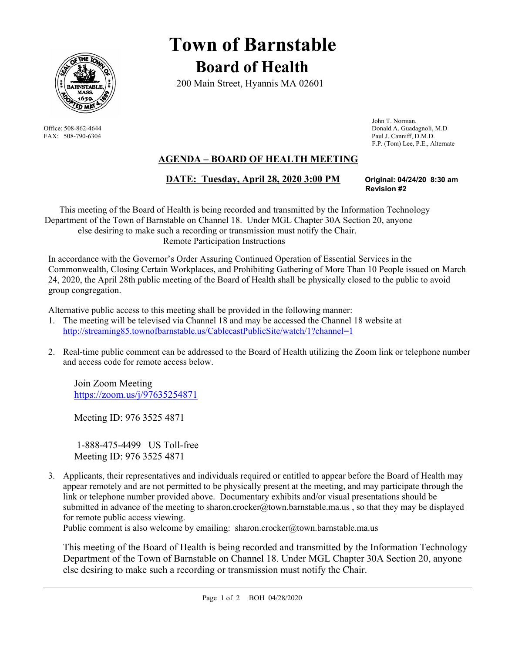

# **Town of Barnstable Board of Health**

200 Main Street, Hyannis MA 02601

 John T. Norman. Office: 508-862-4644 Donald A. Guadagnoli, M.D FAX: 508-790-6304 Paul J. Canniff, D.M.D. F.P. (Tom) Lee, P.E., Alternate

## **AGENDA – BOARD OF HEALTH MEETING**

### **DATE: Tuesday, April 28, 2020 3:00 PM Original: 04/24/20 8:30 am**

**Revision #2** 

This meeting of the Board of Health is being recorded and transmitted by the Information Technology Department of the Town of Barnstable on Channel 18. Under MGL Chapter 30A Section 20, anyone else desiring to make such a recording or transmission must notify the Chair. Remote Participation Instructions

In accordance with the Governor's Order Assuring Continued Operation of Essential Services in the Commonwealth, Closing Certain Workplaces, and Prohibiting Gathering of More Than 10 People issued on March 24, 2020, the April 28th public meeting of the Board of Health shall be physically closed to the public to avoid group congregation.

Alternative public access to this meeting shall be provided in the following manner:

- 1. The meeting will be televised via Channel 18 and may be accessed the Channel 18 website at http://streaming85.townofbarnstable.us/CablecastPublicSite/watch/1?channel=1
- 2. Real-time public comment can be addressed to the Board of Health utilizing the Zoom link or telephone number and access code for remote access below.

Join Zoom Meeting https://zoom.us/j/97635254871

Meeting ID: 976 3525 4871

 1-888-475-4499 US Toll-free Meeting ID: 976 3525 4871

3. Applicants, their representatives and individuals required or entitled to appear before the Board of Health may appear remotely and are not permitted to be physically present at the meeting, and may participate through the link or telephone number provided above. Documentary exhibits and/or visual presentations should be submitted in advance of the meeting to sharon.crocker@town.barnstable.ma.us, so that they may be displayed for remote public access viewing.

Public comment is also welcome by emailing: sharon.crocker@town.barnstable.ma.us

This meeting of the Board of Health is being recorded and transmitted by the Information Technology Department of the Town of Barnstable on Channel 18. Under MGL Chapter 30A Section 20, anyone else desiring to make such a recording or transmission must notify the Chair.